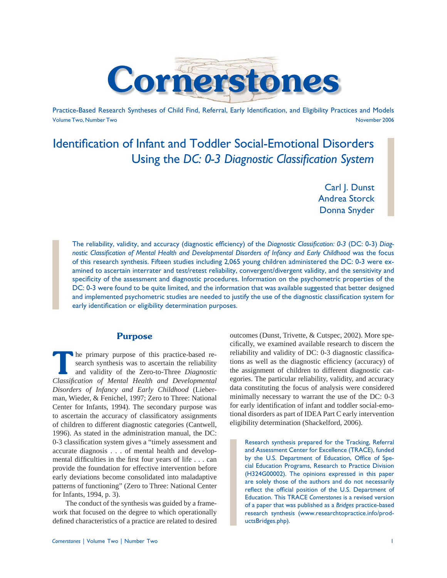

Practice-Based Research Syntheses of Child Find, Referral, Early Identification, and Eligibility Practices and Models Volume Two, Number Two November 2006

# Identification of Infant and Toddler Social-Emotional Disorders Using the *DC: 0-3 Diagnostic Classification System*

Carl J. Dunst Andrea Storck Donna Snyder

The reliability, validity, and accuracy (diagnostic efficiency) of the *Diagnostic Classification*: 0-3 (DC: 0-3) *Diag*nostic Classification of Mental Health and Developmental Disorders of Infancy and Early Childhood was the focus of this research synthesis. Fifteen studies including 2,065 young children administered the DC: 0-3 were examined to ascertain interrater and test/retest reliability, convergent/divergent validity, and the sensitivity and specificity of the assessment and diagnostic procedures. Information on the psychometric properties of the DC: 0-3 were found to be quite limited, and the information that was available suggested that better designed and implemented psychometric studies are needed to justify the use of the diagnostic classification system for early identification or eligibility determination purposes.

# **Purpose**

**The primary purpose of this practice-based research synthesis was to ascertain the reliability and validity of the Zero-to-Three** *Diagnostic**Classification* **of** *Mantal**Haalth***, and** *Douglopmontal* search synthesis was to ascertain the reliability *Classifi cation of Mental Health and Developmental Disorders of Infancy and Early Childhood* (Lieberman, Wieder, & Fenichel, 1997; Zero to Three: National Center for Infants, 1994). The secondary purpose was to ascertain the accuracy of classificatory assignments of children to different diagnostic categories (Cantwell, 1996). As stated in the administration manual, the DC: 0-3 classification system gives a "timely assessment and accurate diagnosis . . . of mental health and developmental difficulties in the first four years of life  $\dots$  can provide the foundation for effective intervention before early deviations become consolidated into maladaptive patterns of functioning" (Zero to Three: National Center for Infants, 1994, p. 3).

 The conduct of the synthesis was guided by a framework that focused on the degree to which operationally defined characteristics of a practice are related to desired cifically, we examined available research to discern the reliability and validity of DC: 0-3 diagnostic classifications as well as the diagnostic efficiency (accuracy) of the assignment of children to different diagnostic categories. The particular reliability, validity, and accuracy data constituting the focus of analysis were considered minimally necessary to warrant the use of the DC: 0-3 for early identification of infant and toddler social-emotional disorders as part of IDEA Part C early intervention eligibility determination (Shackelford, 2006).

outcomes (Dunst, Trivette, & Cutspec, 2002). More spe-

Research synthesis prepared for the Tracking, Referral and Assessment Center for Excellence (TRACE), funded by the U.S. Department of Education, Office of Special Education Programs, Research to Practice Division (H324G00002). The opinions expressed in this paper are solely those of the authors and do not necessarily reflect the official position of the U.S. Department of Education. This TRACE *Cornerstones* is a revised version of a paper that was published as a *Bridges* practice-based research synthesis (www.researchtopractice.info/productsBridges.php).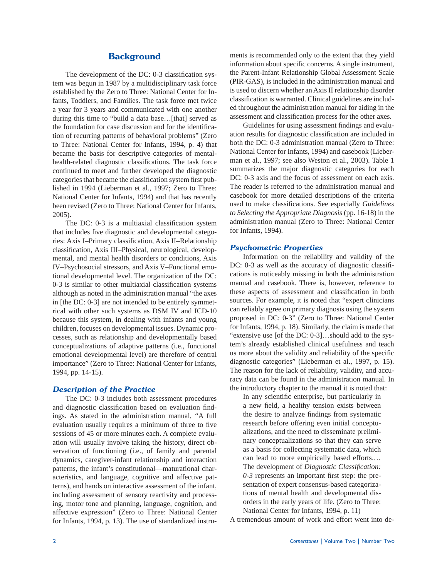# **Background**

The development of the DC: 0-3 classification system was begun in 1987 by a multidisciplinary task force established by the Zero to Three: National Center for Infants, Toddlers, and Families. The task force met twice a year for 3 years and communicated with one another during this time to "build a data base...[that] served as the foundation for case discussion and for the identification of recurring patterns of behavioral problems" (Zero to Three: National Center for Infants, 1994, p. 4) that became the basis for descriptive categories of mentalhealth-related diagnostic classifications. The task force continued to meet and further developed the diagnostic categories that became the classification system first published in 1994 (Lieberman et al., 1997; Zero to Three: National Center for Infants, 1994) and that has recently been revised (Zero to Three: National Center for Infants, 2005).

The DC: 0-3 is a multiaxial classification system that includes five diagnostic and developmental categories: Axis I–Primary classification, Axis II–Relationship classification, Axis III–Physical, neurological, developmental, and mental health disorders or conditions, Axis IV–Psychosocial stressors, and Axis V–Functional emotional developmental level. The organization of the DC: 0-3 is similar to other multiaxial classification systems although as noted in the administration manual "the axes in [the DC: 0-3] are not intended to be entirely symmetrical with other such systems as DSM IV and ICD-10 because this system, in dealing with infants and young children, focuses on developmental issues. Dynamic processes, such as relationship and developmentally based conceptualizations of adaptive patterns (i.e., functional emotional developmental level) are therefore of central importance" (Zero to Three: National Center for Infants, 1994, pp. 14-15).

#### *Description of the Practice*

 The DC: 0-3 includes both assessment procedures and diagnostic classification based on evaluation findings. As stated in the administration manual, "A full evaluation usually requires a minimum of three to five sessions of 45 or more minutes each. A complete evaluation will usually involve taking the history, direct observation of functioning (i.e., of family and parental dynamics, caregiver-infant relationship and interaction patterns, the infant's constitutional—maturational characteristics, and language, cognitive and affective patterns), and hands on interactive assessment of the infant, including assessment of sensory reactivity and processing, motor tone and planning, language, cognition, and affective expression" (Zero to Three: National Center for Infants, 1994, p. 13). The use of standardized instruments is recommended only to the extent that they yield information about specific concerns. A single instrument, the Parent-Infant Relationship Global Assessment Scale (PIR-GAS), is included in the administration manual and is used to discern whether an Axis II relationship disorder classification is warranted. Clinical guidelines are included throughout the administration manual for aiding in the assessment and classification process for the other axes.

Guidelines for using assessment findings and evaluation results for diagnostic classification are included in both the DC: 0-3 administration manual (Zero to Three: National Center for Infants, 1994) and casebook (Lieberman et al., 1997; see also Weston et al., 2003). Table 1 summarizes the major diagnostic categories for each DC: 0-3 axis and the focus of assessment on each axis. The reader is referred to the administration manual and casebook for more detailed descriptions of the criteria used to make classifications. See especially *Guidelines to Selecting the Appropriate Diagnosis* (pp. 16-18) in the administration manual (Zero to Three: National Center for Infants, 1994).

#### *Psychometric Properties*

 Information on the reliability and validity of the DC: 0-3 as well as the accuracy of diagnostic classifications is noticeably missing in both the administration manual and casebook. There is, however, reference to these aspects of assessment and classification in both sources. For example, it is noted that "expert clinicians can reliably agree on primary diagnosis using the system proposed in DC: 0-3" (Zero to Three: National Center for Infants, 1994, p. 18). Similarly, the claim is made that "extensive use [of the DC: 0-3]…should add to the system's already established clinical usefulness and teach us more about the validity and reliability of the specific diagnostic categories" (Lieberman et al., 1997, p. 15). The reason for the lack of reliability, validity, and accuracy data can be found in the administration manual. In the introductory chapter to the manual it is noted that:

In any scientific enterprise, but particularly in a new field, a healthy tension exists between the desire to analyze findings from systematic research before offering even initial conceptualizations, and the need to disseminate preliminary conceptualizations so that they can serve as a basis for collecting systematic data, which can lead to more empirically based efforts.… The development of *Diagnostic Classification:*  $0-3$  represents an important first step: the presentation of expert consensus-based categorizations of mental health and developmental disorders in the early years of life. (Zero to Three: National Center for Infants, 1994, p. 11)

A tremendous amount of work and effort went into de-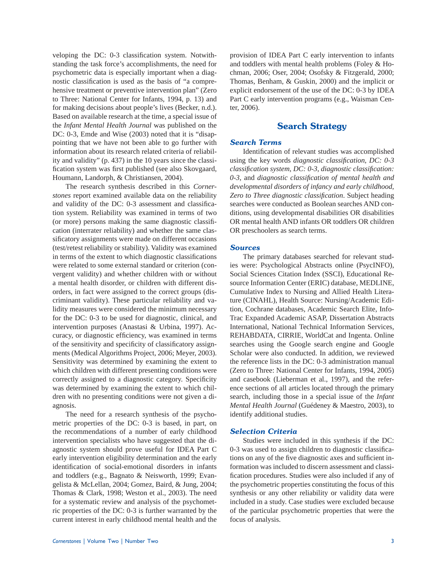veloping the DC: 0-3 classification system. Notwithstanding the task force's accomplishments, the need for psychometric data is especially important when a diagnostic classification is used as the basis of "a comprehensive treatment or preventive intervention plan" (Zero to Three: National Center for Infants, 1994, p. 13) and for making decisions about people's lives (Becker, n.d.). Based on available research at the time, a special issue of the *Infant Mental Health Journal* was published on the DC: 0-3, Emde and Wise (2003) noted that it is "disappointing that we have not been able to go further with information about its research related criteria of reliability and validity" (p. 437) in the 10 years since the classification system was first published (see also Skovgaard, Houmann, Landorph, & Christiansen, 2004).

 The research synthesis described in this *Cornerstones* report examined available data on the reliability and validity of the DC: 0-3 assessment and classification system. Reliability was examined in terms of two (or more) persons making the same diagnostic classification (interrater reliability) and whether the same classificatory assignments were made on different occasions (test/retest reliability or stability). Validity was examined in terms of the extent to which diagnostic classifications were related to some external standard or criterion (convergent validity) and whether children with or without a mental health disorder, or children with different disorders, in fact were assigned to the correct groups (discriminant validity). These particular reliability and validity measures were considered the minimum necessary for the DC: 0-3 to be used for diagnostic, clinical, and intervention purposes (Anastasi & Urbina, 1997). Accuracy, or diagnostic efficiency, was examined in terms of the sensitivity and specificity of classificatory assignments (Medical Algorithms Project, 2006; Meyer, 2003). Sensitivity was determined by examining the extent to which children with different presenting conditions were correctly assigned to a diagnostic category. Specificity was determined by examining the extent to which children with no presenting conditions were not given a diagnosis.

 The need for a research synthesis of the psychometric properties of the DC: 0-3 is based, in part, on the recommendations of a number of early childhood intervention specialists who have suggested that the diagnostic system should prove useful for IDEA Part C early intervention eligibility determination and the early identification of social-emotional disorders in infants and toddlers (e.g., Bagnato & Neisworth, 1999; Evangelista & McLellan, 2004; Gomez, Baird, & Jung, 2004; Thomas & Clark, 1998; Weston et al., 2003). The need for a systematic review and analysis of the psychometric properties of the DC: 0-3 is further warranted by the current interest in early childhood mental health and the provision of IDEA Part C early intervention to infants and toddlers with mental health problems (Foley & Hochman, 2006; Oser, 2004; Osofsky & Fitzgerald, 2000; Thomas, Benham, & Guskin, 2000) and the implicit or explicit endorsement of the use of the DC: 0-3 by IDEA Part C early intervention programs (e.g., Waisman Center, 2006).

# **Search Strategy**

#### *Search Terms*

Identification of relevant studies was accomplished using the key words *diagnostic classification*, *DC: 0-3 classification system, DC: 0-3, diagnostic classification: 0-3*, and *diagnostic classifi cation of mental health and developmental disorders of infancy and early childhood*, **Zero to Three diagnostic classification. Subject heading** searches were conducted as Boolean searches AND conditions, using developmental disabilities OR disabilities OR mental health AND infants OR toddlers OR children OR preschoolers as search terms.

#### *Sources*

 The primary databases searched for relevant studies were: Psychological Abstracts online (PsycINFO), Social Sciences Citation Index (SSCI), Educational Resource Information Center (ERIC) database, MEDLINE, Cumulative Index to Nursing and Allied Health Literature (CINAHL), Health Source: Nursing/Academic Edition, Cochrane databases, Academic Search Elite, Info-Trac Expanded Academic ASAP, Dissertation Abstracts International, National Technical Information Services, REHABDATA, CIRRIE, WorldCat and Ingenta. Online searches using the Google search engine and Google Scholar were also conducted. In addition, we reviewed the reference lists in the DC: 0-3 administration manual (Zero to Three: National Center for Infants, 1994, 2005) and casebook (Lieberman et al., 1997), and the reference sections of all articles located through the primary search, including those in a special issue of the *Infant Mental Health Journal* (Guédeney & Maestro, 2003), to identify additional studies.

#### *Selection Criteria*

 Studies were included in this synthesis if the DC: 0-3 was used to assign children to diagnostic classifications on any of the five diagnostic axes and sufficient information was included to discern assessment and classification procedures. Studies were also included if any of the psychometric properties constituting the focus of this synthesis or any other reliability or validity data were included in a study. Case studies were excluded because of the particular psychometric properties that were the focus of analysis.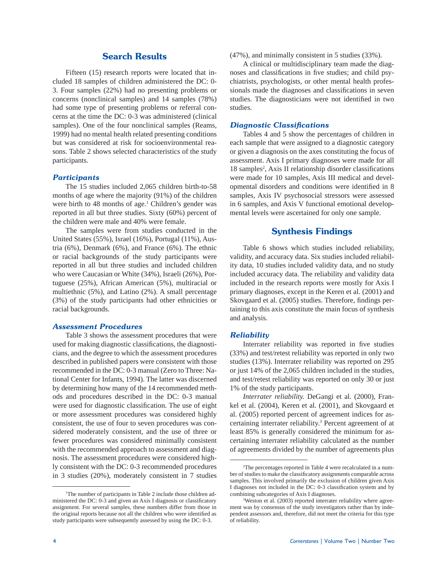# **Search Results**

 Fifteen (15) research reports were located that included 18 samples of children administered the DC: 0- 3. Four samples (22%) had no presenting problems or concerns (nonclinical samples) and 14 samples (78%) had some type of presenting problems or referral concerns at the time the DC: 0-3 was administered (clinical samples). One of the four nonclinical samples (Reams, 1999) had no mental health related presenting conditions but was considered at risk for socioenvironmental reasons. Table 2 shows selected characteristics of the study participants.

## *Participants*

 The 15 studies included 2,065 children birth-to-58 months of age where the majority (91%) of the children were birth to 48 months of age.<sup>1</sup> Children's gender was reported in all but three studies. Sixty (60%) percent of the children were male and 40% were female.

 The samples were from studies conducted in the United States (55%), Israel (16%), Portugal (11%), Austria (6%), Denmark (6%), and France (6%). The ethnic or racial backgrounds of the study participants were reported in all but three studies and included children who were Caucasian or White (34%), Israeli (26%), Portuguese (25%), African American (5%), multiracial or multiethnic (5%), and Latino (2%). A small percentage (3%) of the study participants had other ethnicities or racial backgrounds.

#### *Assessment Procedures*

 Table 3 shows the assessment procedures that were used for making diagnostic classifications, the diagnosticians, and the degree to which the assessment procedures described in published papers were consistent with those recommended in the DC: 0-3 manual (Zero to Three: National Center for Infants, 1994). The latter was discerned by determining how many of the 14 recommended methods and procedures described in the DC: 0-3 manual were used for diagnostic classification. The use of eight or more assessment procedures was considered highly consistent, the use of four to seven procedures was considered moderately consistent, and the use of three or fewer procedures was considered minimally consistent with the recommended approach to assessment and diagnosis. The assessment procedures were considered highly consistent with the DC: 0-3 recommended procedures in 3 studies (20%), moderately consistent in 7 studies (47%), and minimally consistent in 5 studies (33%).

 A clinical or multidisciplinary team made the diagnoses and classifications in five studies; and child psychiatrists, psychologists, or other mental health professionals made the diagnoses and classifications in seven studies. The diagnosticians were not identified in two studies.

#### *Diagnostic Classifications*

 Tables 4 and 5 show the percentages of children in each sample that were assigned to a diagnostic category or given a diagnosis on the axes constituting the focus of assessment. Axis I primary diagnoses were made for all 18 samples<sup>2</sup>, Axis II relationship disorder classifications were made for 10 samples, Axis III medical and developmental disorders and conditions were identified in 8 samples, Axis IV psychosocial stressors were assessed in 6 samples, and Axis V functional emotional developmental levels were ascertained for only one sample.

#### **Synthesis Findings**

 Table 6 shows which studies included reliability, validity, and accuracy data. Six studies included reliability data, 10 studies included validity data, and no study included accuracy data. The reliability and validity data included in the research reports were mostly for Axis I primary diagnoses, except in the Keren et al. (2001) and Skovgaard et al. (2005) studies. Therefore, findings pertaining to this axis constitute the main focus of synthesis and analysis.

#### *Reliability*

Interrater reliability was reported in five studies (33%) and test/retest reliability was reported in only two studies (13%). Interrater reliability was reported on 295 or just 14% of the 2,065 children included in the studies, and test/retest reliability was reported on only 30 or just 1% of the study participants.

*Interrater reliability.* DeGangi et al. (2000), Frankel et al. (2004), Keren et al. (2001), and Skovgaard et al. (2005) reported percent of agreement indices for ascertaining interrater reliability.3 Percent agreement of at least 85% is generally considered the minimum for ascertaining interrater reliability calculated as the number of agreements divided by the number of agreements plus

<sup>&</sup>lt;sup>1</sup>The number of participants in Table 2 include those children administered the DC: 0-3 and given an Axis I diagnosis or classificatory assignment. For several samples, these numbers differ from those in the original reports because not all the children who were identified as study participants were subsequently assessed by using the DC: 0-3.

 <sup>2</sup>The percentages reported in Table 4 were recalculated in a number of studies to make the classificatory assignments comparable across samples. This involved primarily the exclusion of children given Axis I diagnoses not included in the DC: 0-3 classification system and by combining subcategories of Axis I diagnoses.

<sup>&</sup>lt;sup>3</sup>Weston et al. (2003) reported interrater reliability where agreement was by consensus of the study investigators rather than by independent assessors and, therefore, did not meet the criteria for this type of reliability.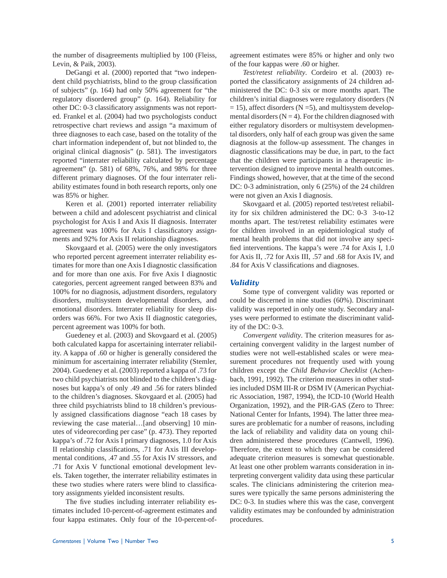the number of disagreements multiplied by 100 (Fleiss, Levin, & Paik, 2003).

 DeGangi et al. (2000) reported that "two independent child psychiatrists, blind to the group classification of subjects" (p. 164) had only 50% agreement for "the regulatory disordered group" (p. 164). Reliability for other DC: 0-3 classificatory assignments was not reported. Frankel et al. (2004) had two psychologists conduct retrospective chart reviews and assign "a maximum of three diagnoses to each case, based on the totality of the chart information independent of, but not blinded to, the original clinical diagnosis" (p. 581). The investigators reported "interrater reliability calculated by percentage agreement" (p. 581) of 68%, 76%, and 98% for three different primary diagnoses. Of the four interrater reliability estimates found in both research reports, only one was 85% or higher.

 Keren et al. (2001) reported interrater reliability between a child and adolescent psychiatrist and clinical psychologist for Axis I and Axis II diagnosis. Interrater agreement was 100% for Axis I classificatory assignments and 92% for Axis II relationship diagnoses.

 Skovgaard et al. (2005) were the only investigators who reported percent agreement interrater reliability estimates for more than one Axis I diagnostic classification and for more than one axis. For five Axis I diagnostic categories, percent agreement ranged between 83% and 100% for no diagnosis, adjustment disorders, regulatory disorders, multisystem developmental disorders, and emotional disorders. Interrater reliability for sleep disorders was 66%. For two Axis II diagnostic categories, percent agreement was 100% for both.

 Guedeney et al. (2003) and Skovgaard et al. (2005) both calculated kappa for ascertaining interrater reliability. A kappa of .60 or higher is generally considered the minimum for ascertaining interrater reliability (Stemler, 2004). Guedeney et al. (2003) reported a kappa of .73 for two child psychiatrists not blinded to the children's diagnoses but kappa's of only .49 and .56 for raters blinded to the children's diagnoses. Skovgaard et al. (2005) had three child psychiatrists blind to 18 children's previously assigned classifications diagnose "each 18 cases by reviewing the case material…[and observing] 10 minutes of videorecording per case" (p. 473). They reported kappa's of .72 for Axis I primary diagnoses, 1.0 for Axis II relationship classifications, .71 for Axis III developmental conditions, .47 and .55 for Axis IV stressors, and .71 for Axis V functional emotional development levels. Taken together, the interrater reliability estimates in these two studies where raters were blind to classificatory assignments yielded inconsistent results.

The five studies including interrater reliability estimates included 10-percent-of-agreement estimates and four kappa estimates. Only four of the 10-percent-of-

*Cornerstones* | Volume Two | Number Two 5

agreement estimates were 85% or higher and only two of the four kappas were .60 or higher.

*Test/retest reliability*. Cordeiro et al. (2003) reported the classificatory assignments of 24 children administered the DC: 0-3 six or more months apart. The children's initial diagnoses were regulatory disorders (N  $= 15$ ), affect disorders (N = 5), and multisystem developmental disorders  $(N = 4)$ . For the children diagnosed with either regulatory disorders or multisystem developmental disorders, only half of each group was given the same diagnosis at the follow-up assessment. The changes in diagnostic classifications may be due, in part, to the fact that the children were participants in a therapeutic intervention designed to improve mental health outcomes. Findings showed, however, that at the time of the second DC: 0-3 administration, only 6 (25%) of the 24 children were not given an Axis I diagnosis.

 Skovgaard et al. (2005) reported test/retest reliability for six children administered the DC: 0-3 3-to-12 months apart. The test/retest reliability estimates were for children involved in an epidemiological study of mental health problems that did not involve any specified interventions. The kappa's were .74 for Axis I, 1.0 for Axis II, .72 for Axis III, .57 and .68 for Axis IV, and .84 for Axis V classifications and diagnoses.

#### *Validity*

 Some type of convergent validity was reported or could be discerned in nine studies (60%). Discriminant validity was reported in only one study. Secondary analyses were performed to estimate the discriminant validity of the DC: 0-3.

*Convergent validity*. The criterion measures for ascertaining convergent validity in the largest number of studies were not well-established scales or were measurement procedures not frequently used with young children except the *Child Behavior Checklist* (Achenbach, 1991, 1992). The criterion measures in other studies included DSM III-R or DSM IV (American Psychiatric Association, 1987, 1994), the ICD-10 (World Health Organization, 1992), and the PIR-GAS (Zero to Three: National Center for Infants, 1994). The latter three measures are problematic for a number of reasons, including the lack of reliability and validity data on young children administered these procedures (Cantwell, 1996). Therefore, the extent to which they can be considered adequate criterion measures is somewhat questionable. At least one other problem warrants consideration in interpreting convergent validity data using these particular scales. The clinicians administering the criterion measures were typically the same persons administering the DC: 0-3. In studies where this was the case, convergent validity estimates may be confounded by administration procedures.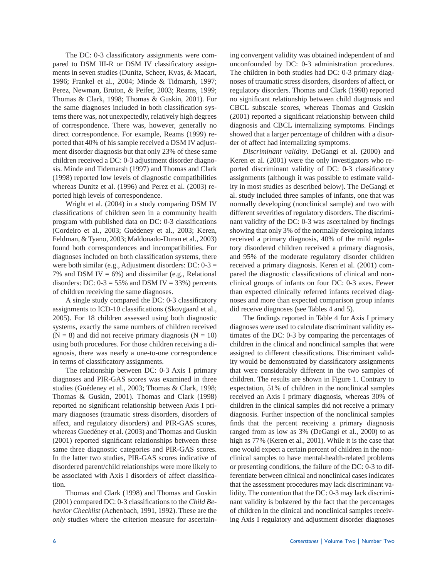The DC: 0-3 classificatory assignments were compared to DSM III-R or DSM IV classificatory assignments in seven studies (Dunitz, Scheer, Kvas, & Macari, 1996; Frankel et al., 2004; Minde & Tidmarsh, 1997; Perez, Newman, Bruton, & Peifer, 2003; Reams, 1999; Thomas & Clark, 1998; Thomas & Guskin, 2001). For the same diagnoses included in both classification systems there was, not unexpectedly, relatively high degrees of correspondence. There was, however, generally no direct correspondence. For example, Reams (1999) reported that 40% of his sample received a DSM IV adjustment disorder diagnosis but that only 23% of these same children received a DC: 0-3 adjustment disorder diagnosis. Minde and Tidemarsh (1997) and Thomas and Clark (1998) reported low levels of diagnostic compatibilities whereas Dunitz et al. (1996) and Perez et al. (2003) reported high levels of correspondence.

 Wright et al. (2004) in a study comparing DSM IV classifications of children seen in a community health program with published data on DC: 0-3 classifications (Cordeiro et al., 2003; Guédeney et al., 2003; Keren, Feldman, & Tyano, 2003; Maldonado-Duran et al., 2003) found both correspondences and incompatibilities. For diagnoses included on both classification systems, there were both similar (e.g., Adjustment disorders: DC: 0-3 = 7% and DSM IV =  $6\%$ ) and dissimilar (e.g., Relational disorders: DC:  $0-3 = 55\%$  and DSM IV = 33%) percents of children receiving the same diagnoses.

A single study compared the DC: 0-3 classificatory assignments to ICD-10 classifications (Skovgaard et al., 2005). For 18 children assessed using both diagnostic systems, exactly the same numbers of children received  $(N = 8)$  and did not receive primary diagnosis  $(N = 10)$ using both procedures. For those children receiving a diagnosis, there was nearly a one-to-one correspondence in terms of classificatory assignments.

 The relationship between DC: 0-3 Axis I primary diagnoses and PIR-GAS scores was examined in three studies (Guédeney et al., 2003; Thomas & Clark, 1998; Thomas & Guskin, 2001). Thomas and Clark (1998) reported no significant relationship between Axis I primary diagnoses (traumatic stress disorders, disorders of affect, and regulatory disorders) and PIR-GAS scores, whereas Guedéney et al. (2003) and Thomas and Guskin  $(2001)$  reported significant relationships between these same three diagnostic categories and PIR-GAS scores. In the latter two studies, PIR-GAS scores indicative of disordered parent/child relationships were more likely to be associated with Axis I disorders of affect classification.

 Thomas and Clark (1998) and Thomas and Guskin (2001) compared DC: 0-3 classifications to the *Child Behavior Checklist* (Achenbach, 1991, 1992). These are the *only* studies where the criterion measure for ascertaining convergent validity was obtained independent of and unconfounded by DC: 0-3 administration procedures. The children in both studies had DC: 0-3 primary diagnoses of traumatic stress disorders, disorders of affect, or regulatory disorders. Thomas and Clark (1998) reported no significant relationship between child diagnosis and CBCL subscale scores, whereas Thomas and Guskin  $(2001)$  reported a significant relationship between child diagnosis and CBCL internalizing symptoms. Findings showed that a larger percentage of children with a disorder of affect had internalizing symptoms.

*Discriminant validity*. DeGangi et al. (2000) and Keren et al. (2001) were the only investigators who reported discriminant validity of DC: 0-3 classificatory assignments (although it was possible to estimate validity in most studies as described below). The DeGangi et al. study included three samples of infants, one that was normally developing (nonclinical sample) and two with different severities of regulatory disorders. The discriminant validity of the DC: 0-3 was ascertained by findings showing that only 3% of the normally developing infants received a primary diagnosis, 40% of the mild regulatory disordered children received a primary diagnosis, and 95% of the moderate regulatory disorder children received a primary diagnosis. Keren et al. (2001) compared the diagnostic classifications of clinical and nonclinical groups of infants on four DC: 0-3 axes. Fewer than expected clinically referred infants received diagnoses and more than expected comparison group infants did receive diagnoses (see Tables 4 and 5).

The findings reported in Table 4 for Axis I primary diagnoses were used to calculate discriminant validity estimates of the DC: 0-3 by comparing the percentages of children in the clinical and nonclinical samples that were assigned to different classifications. Discriminant validity would be demonstrated by classificatory assignments that were considerably different in the two samples of children. The results are shown in Figure 1. Contrary to expectation, 51% of children in the nonclinical samples received an Axis I primary diagnosis, whereas 30% of children in the clinical samples did not receive a primary diagnosis. Further inspection of the nonclinical samples finds that the percent receiving a primary diagnosis ranged from as low as 3% (DeGangi et al., 2000) to as high as 77% (Keren et al., 2001). While it is the case that one would expect a certain percent of children in the nonclinical samples to have mental-health-related problems or presenting conditions, the failure of the DC: 0-3 to differentiate between clinical and nonclinical cases indicates that the assessment procedures may lack discriminant validity. The contention that the DC: 0-3 may lack discriminant validity is bolstered by the fact that the percentages of children in the clinical and nonclinical samples receiving Axis I regulatory and adjustment disorder diagnoses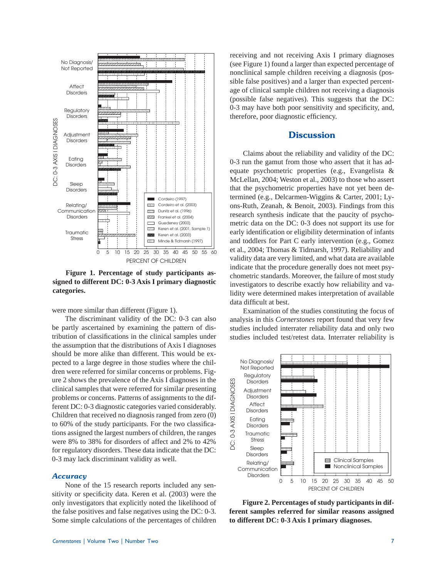

 **Figure 1. Percentage of study participants assigned to different DC: 0-3 Axis I primary diagnostic categories.**

were more similar than different (Figure 1).

 The discriminant validity of the DC: 0-3 can also be partly ascertained by examining the pattern of distribution of classifications in the clinical samples under the assumption that the distributions of Axis I diagnoses should be more alike than different. This would be expected to a large degree in those studies where the children were referred for similar concerns or problems. Figure 2 shows the prevalence of the Axis I diagnoses in the clinical samples that were referred for similar presenting problems or concerns. Patterns of assignments to the different DC: 0-3 diagnostic categories varied considerably. Children that received no diagnosis ranged from zero (0) to  $60\%$  of the study participants. For the two classifications assigned the largest numbers of children, the ranges were 8% to 38% for disorders of affect and 2% to 42% for regulatory disorders. These data indicate that the DC: 0-3 may lack discriminant validity as well.

#### *Accuracy*

 None of the 15 research reports included any sensitivity or specificity data. Keren et al. (2003) were the only investigators that explicitly noted the likelihood of the false positives and false negatives using the DC: 0-3. Some simple calculations of the percentages of children (see Figure 1) found a larger than expected percentage of nonclinical sample children receiving a diagnosis (possible false positives) and a larger than expected percentage of clinical sample children not receiving a diagnosis (possible false negatives). This suggests that the DC: 0-3 may have both poor sensitivity and specificity, and, therefore, poor diagnostic efficiency.

## **Discussion**

receiving and not receiving Axis I primary diagnoses<br>
(see Figure 1) found a larger than expected percentage of<br>
(sonetinical sample children receiving a diagnosis (pos-<br>
sible false positives) and a larger than expected p Claims about the reliability and validity of the DC: 0-3 run the gamut from those who assert that it has adequate psychometric properties (e.g., Evangelista & McLellan, 2004; Weston et al., 2003) to those who assert that the psychometric properties have not yet been determined (e.g., Delcarmen-Wiggins & Carter, 2001; Lyons-Ruth, Zeanah, & Benoit, 2003). Findings from this research synthesis indicate that the paucity of psychometric data on the DC: 0-3 does not support its use for early identification or eligibility determination of infants and toddlers for Part C early intervention (e.g., Gomez et al., 2004; Thomas & Tidmarsh, 1997). Reliability and validity data are very limited, and what data are available indicate that the procedure generally does not meet psychometric standards. Moreover, the failure of most study investigators to describe exactly how reliability and validity were determined makes interpretation of available data difficult at best.

 Examination of the studies constituting the focus of analysis in this *Cornerstones* report found that very few studies included interrater reliability data and only two studies included test/retest data. Interrater reliability is



 **Figure 2. Percentages of study participants in different samples referred for similar reasons assigned to different DC: 0-3 Axis I primary diagnoses.**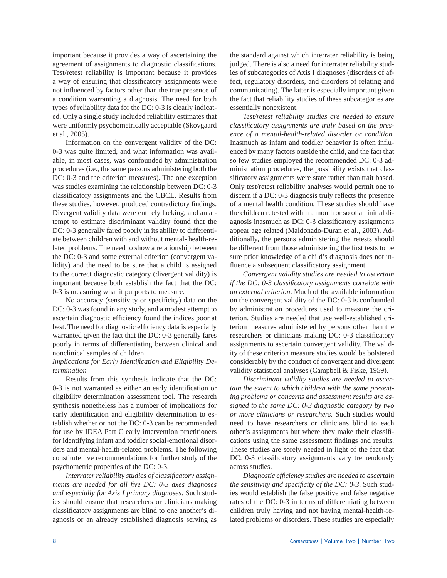important because it provides a way of ascertaining the agreement of assignments to diagnostic classifications. Test/retest reliability is important because it provides a way of ensuring that classificatory assignments were not influenced by factors other than the true presence of a condition warranting a diagnosis. The need for both types of reliability data for the DC: 0-3 is clearly indicated. Only a single study included reliability estimates that were uniformly psychometrically acceptable (Skovgaard et al., 2005).

 Information on the convergent validity of the DC: 0-3 was quite limited, and what information was available, in most cases, was confounded by administration procedures (i.e., the same persons administering both the DC: 0-3 and the criterion measures). The one exception was studies examining the relationship between DC: 0-3 classificatory assignments and the CBCL. Results from these studies, however, produced contradictory findings. Divergent validity data were entirely lacking, and an attempt to estimate discriminant validity found that the DC: 0-3 generally fared poorly in its ability to differentiate between children with and without mental- health-related problems. The need to show a relationship between the DC: 0-3 and some external criterion (convergent validity) and the need to be sure that a child is assigned to the correct diagnostic category (divergent validity) is important because both establish the fact that the DC: 0-3 is measuring what it purports to measure.

No accuracy (sensitivity or specificity) data on the DC: 0-3 was found in any study, and a modest attempt to ascertain diagnostic efficiency found the indices poor at best. The need for diagnostic efficiency data is especially warranted given the fact that the DC: 0-3 generally fares poorly in terms of differentiating between clinical and nonclinical samples of children.

# Implications for Early Identification and Eligibility De*termination*

 Results from this synthesis indicate that the DC: 0-3 is not warranted as either an early identification or eligibility determination assessment tool. The research synthesis nonetheless has a number of implications for early identification and eligibility determination to establish whether or not the DC: 0-3 can be recommended for use by IDEA Part C early intervention practitioners for identifying infant and toddler social-emotional disorders and mental-health-related problems. The following constitute five recommendations for further study of the psychometric properties of the DC: 0-3.

Interrater reliability studies of classificatory assign*ments are needed for all five DC: 0-3 axes diagnoses and especially for Axis I primary diagnoses*. Such studies should ensure that researchers or clinicians making classificatory assignments are blind to one another's diagnosis or an already established diagnosis serving as the standard against which interrater reliability is being judged. There is also a need for interrater reliability studies of subcategories of Axis I diagnoses (disorders of affect, regulatory disorders, and disorders of relating and communicating). The latter is especially important given the fact that reliability studies of these subcategories are essentially nonexistent.

*Test/retest reliability studies are needed to ensure*  classificatory assignments are truly based on the pres*ence of a mental-health-related disorder or condition*. Inasmuch as infant and toddler behavior is often influenced by many factors outside the child, and the fact that so few studies employed the recommended DC: 0-3 administration procedures, the possibility exists that classificatory assignments were state rather than trait based. Only test/retest reliability analyses would permit one to discern if a DC:  $0-3$  diagnosis truly reflects the presence of a mental health condition. These studies should have the children retested within a month or so of an initial diagnosis inasmuch as DC: 0-3 classificatory assignments appear age related (Maldonado-Duran et al., 2003). Additionally, the persons administering the retests should be different from those administering the first tests to be sure prior knowledge of a child's diagnosis does not influence a subsequent classificatory assignment.

*Convergent validity studies are needed to ascertain if the DC: 0-3 classificatory assignments correlate with an external criterion*. Much of the available information on the convergent validity of the DC: 0-3 is confounded by administration procedures used to measure the criterion. Studies are needed that use well-established criterion measures administered by persons other than the researchers or clinicians making DC: 0-3 classificatory assignments to ascertain convergent validity. The validity of these criterion measure studies would be bolstered considerably by the conduct of convergent and divergent validity statistical analyses (Campbell & Fiske, 1959).

*Discriminant validity studies are needed to ascertain the extent to which children with the same presenting problems or concerns and assessment results are assigned to the same DC: 0-3 diagnostic category by two or more clinicians or researchers*. Such studies would need to have researchers or clinicians blind to each other's assignments but where they make their classifi cations using the same assessment findings and results. These studies are sorely needed in light of the fact that DC: 0-3 classificatory assignments vary tremendously across studies.

*Diagnostic effi ciency studies are needed to ascertain the sensitivity and specificity of the DC: 0-3.* Such studies would establish the false positive and false negative rates of the DC: 0-3 in terms of differentiating between children truly having and not having mental-health-related problems or disorders. These studies are especially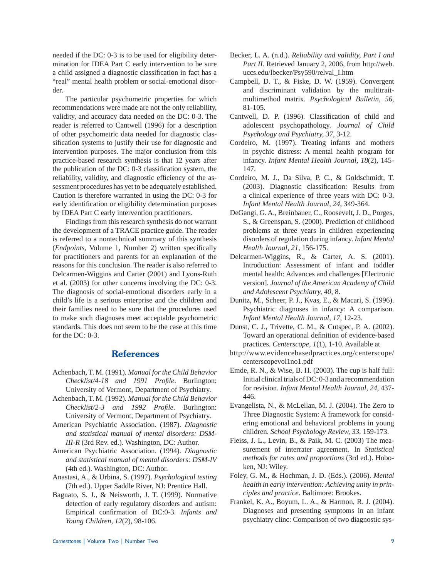needed if the DC: 0-3 is to be used for eligibility determination for IDEA Part C early intervention to be sure a child assigned a diagnostic classification in fact has a "real" mental health problem or social-emotional disorder.

 The particular psychometric properties for which recommendations were made are not the only reliability, validity, and accuracy data needed on the DC: 0-3. The reader is referred to Cantwell (1996) for a description of other psychometric data needed for diagnostic classification systems to justify their use for diagnostic and intervention purposes. The major conclusion from this practice-based research synthesis is that 12 years after the publication of the DC: 0-3 classification system, the reliability, validity, and diagnostic efficiency of the assessment procedures has yet to be adequately established. Caution is therefore warranted in using the DC: 0-3 for early identification or eligibility determination purposes by IDEA Part C early intervention practitioners.

 Findings from this research synthesis do not warrant the development of a TRACE practice guide. The reader is referred to a nontechnical summary of this synthesis (*Endpoints*, Volume 1, Number 2) written specifically for practitioners and parents for an explanation of the reasons for this conclusion. The reader is also referred to Delcarmen-Wiggins and Carter (2001) and Lyons-Ruth et al. (2003) for other concerns involving the DC: 0-3. The diagnosis of social-emotional disorders early in a child's life is a serious enterprise and the children and their families need to be sure that the procedures used to make such diagnoses meet acceptable psychometric standards. This does not seem to be the case at this time for the DC: 0-3.

# **References**

- Achenbach, T. M. (1991). *Manual for the Child Behavior Checklist*/4-18 and 1991 *Profile*. Burlington: University of Vermont, Department of Psychiatry.
- Achenbach, T. M. (1992). *Manual for the Child Behavior Checklist/2-3 and 1992 Profile.* Burlington: University of Vermont, Department of Psychiatry.
- American Psychiatric Association. (1987). *Diagnostic and statistical manual of mental disorders: DSM-III-R* (3rd Rev. ed.). Washington, DC: Author.
- American Psychiatric Association. (1994). *Diagnostic and statistical manual of mental disorders: DSM-IV* (4th ed.). Washington, DC: Author.
- Anastasi, A., & Urbina, S. (1997). *Psychological testing*  (7th ed.). Upper Saddle River, NJ: Prentice Hall.
- Bagnato, S. J., & Neisworth, J. T. (1999). Normative detection of early regulatory disorders and autism: Empirical confirmation of DC:0-3. *Infants and Young Children, 12*(2), 98-106.
- Becker, L. A. (n.d.). *Reliability and validity, Part I and Part II*. Retrieved January 2, 2006, from http://web. uccs.edu/lbecker/Psy590/relval\_I.htm
- Campbell, D. T., & Fiske, D. W. (1959). Convergent and discriminant validation by the multitraitmultimethod matrix. *Psychological Bulletin, 56*, 81-105.
- Cantwell, D. P. (1996). Classification of child and adolescent psychopathology. *Journal of Child Psychology and Psychiatry, 37*, 3-12.
- Cordeiro, M. (1997). Treating infants and mothers in psychic distress: A mental health program for infancy. *Infant Mental Health Journal, 18*(2), 145- 147.
- Cordeiro, M. J., Da Silva, P. C., & Goldschmidt, T.  $(2003)$ . Diagnostic classification: Results from a clinical experience of three years with DC: 0-3. *Infant Mental Health Journal, 24*, 349-364.
- DeGangi, G. A., Breinbauer, C., Roosevelt, J. D., Porges, S., & Greenspan, S. (2000). Prediction of childhood problems at three years in children experiencing disorders of regulation during infancy. *Infant Mental Health Journal, 21*, 156-175.
- Delcarmen-Wiggins, R., & Carter, A. S. (2001). Introduction: Assessment of infant and toddler mental health: Advances and challenges [Electronic version]. *Journal of the American Academy of Child and Adolescent Psychiatry, 40*, 8.
- Dunitz, M., Scheer, P. J., Kvas, E., & Macari, S. (1996). Psychiatric diagnoses in infancy: A comparison. *Infant Mental Health Journal, 17*, 12-23.
- Dunst, C. J., Trivette, C. M., & Cutspec, P. A. (2002). Toward an operational definition of evidence-based practices. *Centerscope, 1*(1), 1-10. Available at
- http://www.evidencebasedpractices.org/centerscope/ centerscopevol1no1.pdf
- Emde, R. N., & Wise, B. H. (2003). The cup is half full: Initial clinical trials of DC: 0-3 and a recommendation for revision. *Infant Mental Health Journal, 24*, 437- 446.
- Evangelista, N., & McLellan, M. J. (2004). The Zero to Three Diagnostic System: A framework for considering emotional and behavioral problems in young children. *School Psychology Review, 33*, 159-173.
- Fleiss, J. L., Levin, B., & Paik, M. C. (2003) The measurement of interrater agreement. In *Statistical methods for rates and proportions* (3rd ed.). Hoboken, NJ: Wiley.
- Foley, G. M., & Hochman, J. D. (Eds.). (2006). *Mental health in early intervention: Achieving unity in principles and practice*. Baltimore: Brookes.
- Frankel, K. A., Boyum, L. A., & Harmon, R. J. (2004). Diagnoses and presenting symptoms in an infant psychiatry clinc: Comparison of two diagnostic sys-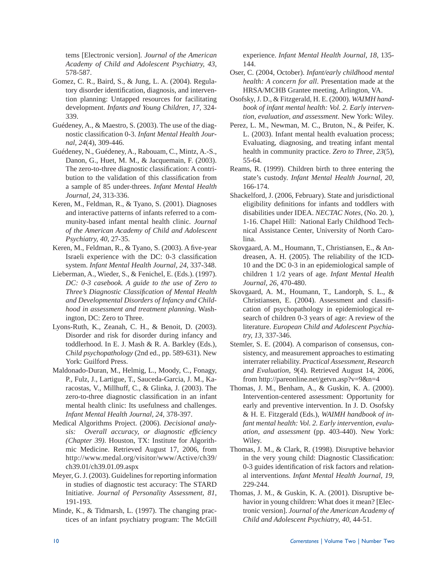tems [Electronic version]. *Journal of the American Academy of Child and Adolescent Psychiatry, 43*, 578-587.

- Gomez, C. R., Baird, S., & Jung, L. A. (2004). Regulatory disorder identification, diagnosis, and intervention planning: Untapped resources for facilitating development. *Infants and Young Children, 17*, 324- 339.
- Guédeney, A., & Maestro, S. (2003). The use of the diagnostic classification 0-3. *Infant Mental Health Journal, 24*(4), 309-446.
- Guédeney, N., Guédeney, A., Rabouam, C., Mintz, A.-S., Danon, G., Huet, M. M., & Jacquemain, F. (2003). The zero-to-three diagnostic classification: A contribution to the validation of this classification from a sample of 85 under-threes. *Infant Mental Health Journal, 24*, 313-336.
- Keren, M., Feldman, R., & Tyano, S. (2001). Diagnoses and interactive patterns of infants referred to a community-based infant mental health clinic. *Journal of the American Academy of Child and Adolescent Psychiatry, 40*, 27-35.
- Keren, M., Feldman, R., & Tyano, S. (2003). A five-year Israeli experience with the DC: 0-3 classification system. *Infant Mental Health Journal, 24*, 337-348.
- Lieberman, A., Wieder, S., & Fenichel, E. (Eds.). (1997). *DC: 0-3 casebook. A guide to the use of Zero to Three's Diagnostic Classification of Mental Health and Developmental Disorders of Infancy and Childhood in assessment and treatment planning*. Washington, DC: Zero to Three.
- Lyons-Ruth, K., Zeanah, C. H., & Benoit, D. (2003). Disorder and risk for disorder during infancy and toddlerhood. In E. J. Mash & R. A. Barkley (Eds.), *Child psychopathology* (2nd ed., pp. 589-631). New York: Guilford Press.
- Maldonado-Duran, M., Helmig, L., Moody, C., Fonagy, P., Fulz, J., Lartigue, T., Sauceda-Garcia, J. M., Karacostas, V., Millhuff, C., & Glinka, J. (2003). The zero-to-three diagnostic classification in an infant mental health clinic: Its usefulness and challenges. *Infant Mental Health Journal, 24*, 378-397.
- Medical Algorithms Project. (2006). *Decisional analy*sis: Overall accuracy, or diagnostic efficiency *(Chapter 39)*. Houston, TX: Institute for Algorithmic Medicine. Retrieved August 17, 2006, from http://www.medal.org/visitor/www/Active/ch39/ ch39.01/ch39.01.09.aspx
- Meyer, G. J. (2003). Guidelines for reporting information in studies of diagnostic test accuracy: The STARD Initiative. *Journal of Personality Assessment, 81*, 191-193.
- Minde, K., & Tidmarsh, L. (1997). The changing practices of an infant psychiatry program: The McGill

experience. *Infant Mental Health Journal, 18*, 135- 144.

- Oser, C. (2004, October). *Infant/early childhood mental health: A concern for all*. Presentation made at the HRSA/MCHB Grantee meeting, Arlington, VA.
- Osofsky, J. D., & Fitzgerald, H. E. (2000). *WAIMH handbook of infant mental health: Vol. 2. Early intervention, evaluation, and assessment*. New York: Wiley.
- Perez, L. M., Newman, M. C., Bruton, N., & Peifer, K. L. (2003). Infant mental health evaluation process; Evaluating, diagnosing, and treating infant mental health in community practice. *Zero to Three, 23*(5), 55-64.
- Reams, R. (1999). Children birth to three entering the state's custody. *Infant Mental Health Journal, 20*, 166-174.
- Shackelford, J. (2006, February). State and jurisdictional eligibility definitions for infants and toddlers with disabilities under IDEA. *NECTAC Notes,* (No. 20. ), 1-16. Chapel Hill: National Early Childhood Technical Assistance Center, University of North Carolina.
- Skovgaard, A. M., Houmann, T., Christiansen, E., & Andreasen, A. H. (2005). The reliability of the ICD-10 and the DC 0-3 in an epidemiological sample of children 1 1/2 years of age. *Infant Mental Health Journal, 26*, 470-480.
- Skovgaard, A. M., Houmann, T., Landorph, S. L., & Christiansen, E. (2004). Assessment and classification of psychopathology in epidemiological research of children 0-3 years of age: A review of the literature. *European Child and Adolescent Psychiatry, 13*, 337-346.
- Stemler, S. E. (2004). A comparison of consensus, consistency, and measurement approaches to estimating interrater reliability. *Practical Assessment, Research and Evaluation, 9*(4). Retrieved August 14, 2006, from http://pareonline.net/getvn.asp?v=9&n=4
- Thomas, J. M., Benham, A., & Guskin, K. A. (2000). Intervention-centered assessment: Opportunity for early and preventive intervention. In J. D. Osofsky & H. E. Fitzgerald (Eds.), *WAIMH handbook of infant mental health: Vol. 2. Early intervention, evaluation, and assessment* (pp. 403-440). New York: Wiley.
- Thomas, J. M., & Clark, R. (1998). Disruptive behavior in the very young child: Diagnostic Classification: 0-3 guides identification of risk factors and relational interventions. *Infant Mental Health Journal, 19*, 229-244.
- Thomas, J. M., & Guskin, K. A. (2001). Disruptive behavior in young children: What does it mean? [Electronic version]. *Journal of the American Academy of Child and Adolescent Psychiatry, 40*, 44-51.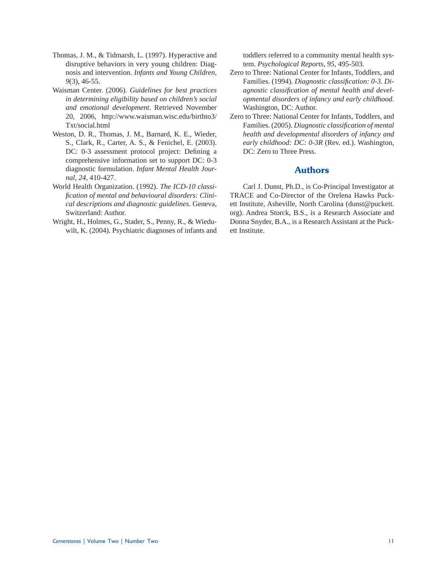- Thomas, J. M., & Tidmarsh, L. (1997). Hyperactive and disruptive behaviors in very young children: Diagnosis and intervention. *Infants and Young Children, 9*(3), 46-55.
- Waisman Center. (2006). *Guidelines for best practices in determining eligibility based on children's social and emotional development*. Retrieved November 20, 2006, http://www.waisman.wisc.edu/birthto3/ Txt/social.html
- Weston, D. R., Thomas, J. M., Barnard, K. E., Wieder, S., Clark, R., Carter, A. S., & Fenichel, E. (2003). DC: 0-3 assessment protocol project: Defining a comprehensive information set to support DC: 0-3 diagnostic formulation. *Infant Mental Health Journal, 24*, 410-427.
- World Health Organization. (1992). *The ICD-10 classifi cation of mental and behavioural disorders: Clinical descriptions and diagnostic guidelines*. Geneva, Switzerland: Author.
- Wright, H., Holmes, G., Stader, S., Penny, R., & Wieduwilt, K. (2004). Psychiatric diagnoses of infants and

toddlers referred to a community mental health system. *Psychological Reports, 95*, 495-503.

- Zero to Three: National Center for Infants, Toddlers, and Families. (1994). *Diagnostic classification:* 0-3. *Di*agnostic classification of mental health and devel*opmental disorders of infancy and early childhood*. Washington, DC: Author.
- Zero to Three: National Center for Infants, Toddlers, and Families. (2005). *Diagnostic classification of mental health and developmental disorders of infancy and early childhood: DC: 0-3R* (Rev. ed.). Washington, DC: Zero to Three Press.

# **Authors**

 Carl J. Dunst, Ph.D., is Co-Principal Investigator at TRACE and Co-Director of the Orelena Hawks Puckett Institute, Asheville, North Carolina (dunst@puckett. org). Andrea Storck, B.S., is a Research Associate and Donna Snyder, B.A., is a Research Assistant at the Puckett Institute.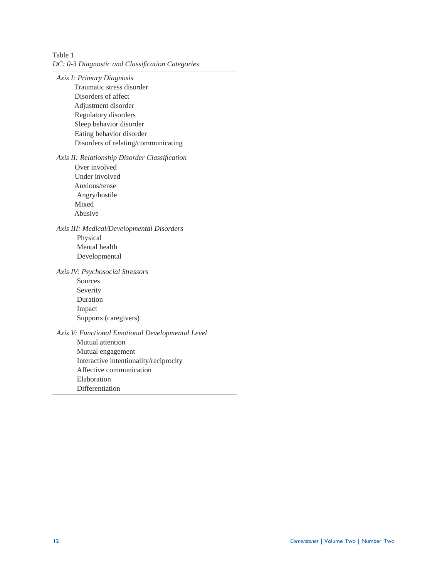Table 1 *DC: 0-3 Diagnostic and Classifi cation Categories*

*Axis I: Primary Diagnosis* Traumatic stress disorder Disorders of affect Adjustment disorder Regulatory disorders Sleep behavior disorder Eating behavior disorder Disorders of relating/communicating

Axis II: Relationship Disorder Classification

 Over involved Under involved Anxious/tense Angry/hostile Mixed Abusive

*Axis III: Medical/Developmental Disorders* Physical Mental health Developmental

*Axis IV: Psychosocial Stressors*

Sources Severity Duration Impact Supports (caregivers)

*Axis V: Functional Emotional Developmental Level* Mutual attention Mutual engagement Interactive intentionality/reciprocity Affective communication Elaboration Differentiation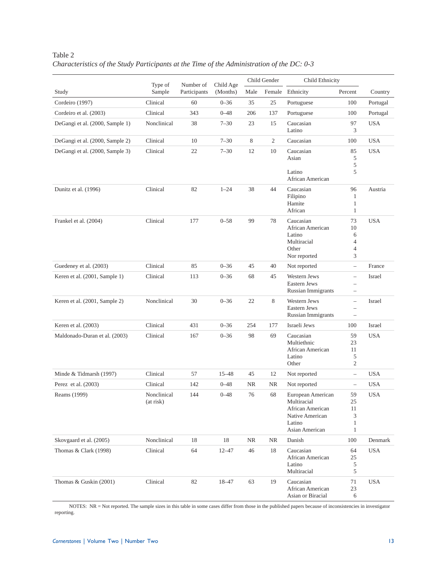|                                 | Type of                  | Number of    | Child Age | Child Gender |                | Child Ethnicity                                                                                     |                                                                           |            |
|---------------------------------|--------------------------|--------------|-----------|--------------|----------------|-----------------------------------------------------------------------------------------------------|---------------------------------------------------------------------------|------------|
| Study                           | Sample                   | Participants | (Months)  | Male         |                | Female Ethnicity                                                                                    | Percent                                                                   | Country    |
| Cordeiro (1997)                 | Clinical                 | 60           | $0 - 36$  | 35           | 25             | Portuguese                                                                                          | 100                                                                       | Portugal   |
| Cordeiro et al. (2003)          | Clinical                 | 343          | $0 - 48$  | 206          | 137            | Portuguese                                                                                          | 100                                                                       | Portugal   |
| DeGangi et al. (2000, Sample 1) | Nonclinical              | 38           | $7 - 30$  | 23           | 15             | Caucasian<br>Latino                                                                                 | 97<br>3                                                                   | <b>USA</b> |
| DeGangi et al. (2000, Sample 2) | Clinical                 | 10           | $7 - 30$  | 8            | $\overline{c}$ | Caucasian                                                                                           | 100                                                                       | <b>USA</b> |
| DeGangi et al. (2000, Sample 3) | Clinical                 | 22           | $7 - 30$  | 12           | 10             | Caucasian<br>Asian<br>Latino<br>African American                                                    | 85<br>5<br>5<br>5                                                         | <b>USA</b> |
| Dunitz et al. (1996)            | Clinical                 | 82           | $1 - 24$  | 38           | 44             | Caucasian<br>Filipino<br>Hamite<br>African                                                          | 96<br>1<br>1<br>$\mathbf{1}$                                              | Austria    |
| Frankel et al. (2004)           | Clinical                 | 177          | $0 - 58$  | 99           | 78             | Caucasian<br>African American<br>Latino<br>Multiracial<br>Other<br>Nor reported                     | 73<br>10<br>6<br>$\overline{4}$<br>4<br>3                                 | <b>USA</b> |
| Guedeney et al. (2003)          | Clinical                 | 85           | $0 - 36$  | 45           | 40             | Not reported                                                                                        | $\overline{\phantom{0}}$                                                  | France     |
| Keren et al. (2001, Sample 1)   | Clinical                 | 113          | $0 - 36$  | 68           | 45             | Western Jews<br>Eastern Jews<br><b>Russian Immigrants</b>                                           | $\overline{\phantom{0}}$<br>$\overline{\phantom{0}}$<br>$\qquad \qquad -$ | Israel     |
| Keren et al. (2001, Sample 2)   | Nonclinical              | 30           | $0 - 36$  | 22           | 8              | Western Jews<br>Eastern Jews<br>Russian Immigrants                                                  | $\qquad \qquad -$<br>$\overline{\phantom{0}}$<br>$\qquad \qquad -$        | Israel     |
| Keren et al. (2003)             | Clinical                 | 431          | $0 - 36$  | 254          | 177            | Israeli Jews                                                                                        | 100                                                                       | Israel     |
| Maldonado-Duran et al. (2003)   | Clinical                 | 167          | $0 - 36$  | 98           | 69             | Caucasian<br>Multiethnic<br>African American<br>Latino<br>Other                                     | 59<br>23<br>11<br>5<br>$\mathfrak{2}$                                     | <b>USA</b> |
| Minde & Tidmarsh (1997)         | Clinical                 | 57           | $15 - 48$ | 45           | 12             | Not reported                                                                                        | $\qquad \qquad -$                                                         | <b>USA</b> |
| Perez et al. (2003)             | Clinical                 | 142          | $0 - 48$  | <b>NR</b>    | <b>NR</b>      | Not reported                                                                                        | $\qquad \qquad -$                                                         | <b>USA</b> |
| Reams (1999)                    | Nonclinical<br>(at risk) | 144          | $0 - 48$  | 76           | 68             | European American<br>Multiracial<br>African American<br>Native American<br>Latino<br>Asian American | 59<br>25<br>11<br>3<br>1<br>1                                             | <b>USA</b> |
| Skovgaard et al. (2005)         | Nonclinical              | 18           | 18        | NR           | <b>NR</b>      | Danish                                                                                              | 100                                                                       | Denmark    |
| Thomas & Clark (1998)           | Clinical                 | 64           | $12 - 47$ | 46           | 18             | Caucasian<br>African American<br>Latino<br>Multiracial                                              | 64<br>25<br>5<br>5                                                        | <b>USA</b> |
| Thomas & Guskin (2001)          | Clinical                 | 82           | 18-47     | 63           | 19             | Caucasian<br>African American<br>Asian or Biracial                                                  | 71<br>23<br>6                                                             | <b>USA</b> |

Table 2 *Characteristics of the Study Participants at the Time of the Administration of the DC: 0-3*

 NOTES: NR = Not reported. The sample sizes in this table in some cases differ from those in the published papers because of inconsistencies in investigator reporting.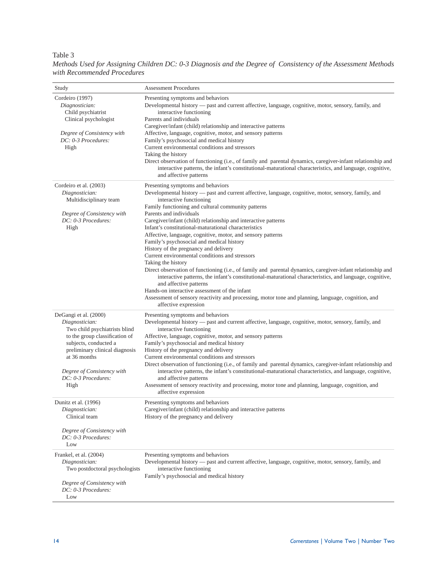## Table 3

*Methods Used for Assigning Children DC: 0-3 Diagnosis and the Degree of Consistency of the Assessment Methods with Recommended Procedures*

| Study                                                                                                                                                                                                                                              | <b>Assessment Procedures</b>                                                                                                                                                                                                                                                                                                                                                                                                                                                                                                                                                                                                                                                                                                                                                                                                                                                                                                                                                                                                                     |
|----------------------------------------------------------------------------------------------------------------------------------------------------------------------------------------------------------------------------------------------------|--------------------------------------------------------------------------------------------------------------------------------------------------------------------------------------------------------------------------------------------------------------------------------------------------------------------------------------------------------------------------------------------------------------------------------------------------------------------------------------------------------------------------------------------------------------------------------------------------------------------------------------------------------------------------------------------------------------------------------------------------------------------------------------------------------------------------------------------------------------------------------------------------------------------------------------------------------------------------------------------------------------------------------------------------|
| Cordeiro (1997)<br>Diagnostician:<br>Child psychiatrist<br>Clinical psychologist<br>Degree of Consistency with<br>DC: 0-3 Procedures:<br>High                                                                                                      | Presenting symptoms and behaviors<br>Developmental history — past and current affective, language, cognitive, motor, sensory, family, and<br>interactive functioning<br>Parents and individuals<br>Caregiver/infant (child) relationship and interactive patterns<br>Affective, language, cognitive, motor, and sensory patterns<br>Family's psychosocial and medical history<br>Current environmental conditions and stressors<br>Taking the history<br>Direct observation of functioning (i.e., of family and parental dynamics, caregiver-infant relationship and<br>interactive patterns, the infant's constitutional-maturational characteristics, and language, cognitive,<br>and affective patterns                                                                                                                                                                                                                                                                                                                                       |
| Cordeiro et al. (2003)<br>Diagnostician:<br>Multidisciplinary team<br>Degree of Consistency with<br>DC: 0-3 Procedures:<br>High                                                                                                                    | Presenting symptoms and behaviors<br>Developmental history — past and current affective, language, cognitive, motor, sensory, family, and<br>interactive functioning<br>Family functioning and cultural community patterns<br>Parents and individuals<br>Caregiver/infant (child) relationship and interactive patterns<br>Infant's constitutional-maturational characteristics<br>Affective, language, cognitive, motor, and sensory patterns<br>Family's psychosocial and medical history<br>History of the pregnancy and delivery<br>Current environmental conditions and stressors<br>Taking the history<br>Direct observation of functioning (i.e., of family and parental dynamics, caregiver-infant relationship and<br>interactive patterns, the infant's constitutional-maturational characteristics, and language, cognitive,<br>and affective patterns<br>Hands-on interactive assessment of the infant<br>Assessment of sensory reactivity and processing, motor tone and planning, language, cognition, and<br>affective expression |
| DeGangi et al. (2000)<br>Diagnostician:<br>Two child psychiatrists blind<br>to the group classification of<br>subjects, conducted a<br>preliminary clinical diagnosis<br>at 36 months<br>Degree of Consistency with<br>DC: 0-3 Procedures:<br>High | Presenting symptoms and behaviors<br>Developmental history — past and current affective, language, cognitive, motor, sensory, family, and<br>interactive functioning<br>Affective, language, cognitive, motor, and sensory patterns<br>Family's psychosocial and medical history<br>History of the pregnancy and delivery<br>Current environmental conditions and stressors<br>Direct observation of functioning (i.e., of family and parental dynamics, caregiver-infant relationship and<br>interactive patterns, the infant's constitutional-maturational characteristics, and language, cognitive,<br>and affective patterns<br>Assessment of sensory reactivity and processing, motor tone and planning, language, cognition, and<br>affective expression                                                                                                                                                                                                                                                                                   |
| Dunitz et al. (1996)<br>Diagnostician:<br>Clinical team<br>Degree of Consistency with<br>DC: 0-3 Procedures:<br>Low                                                                                                                                | Presenting symptoms and behaviors<br>Caregiver/infant (child) relationship and interactive patterns<br>History of the pregnancy and delivery                                                                                                                                                                                                                                                                                                                                                                                                                                                                                                                                                                                                                                                                                                                                                                                                                                                                                                     |
| Frankel, et al. (2004)<br>Diagnostician:<br>Two postdoctoral psychologists<br>Degree of Consistency with<br>DC: 0-3 Procedures:<br>Low                                                                                                             | Presenting symptoms and behaviors<br>Developmental history — past and current affective, language, cognitive, motor, sensory, family, and<br>interactive functioning<br>Family's psychosocial and medical history                                                                                                                                                                                                                                                                                                                                                                                                                                                                                                                                                                                                                                                                                                                                                                                                                                |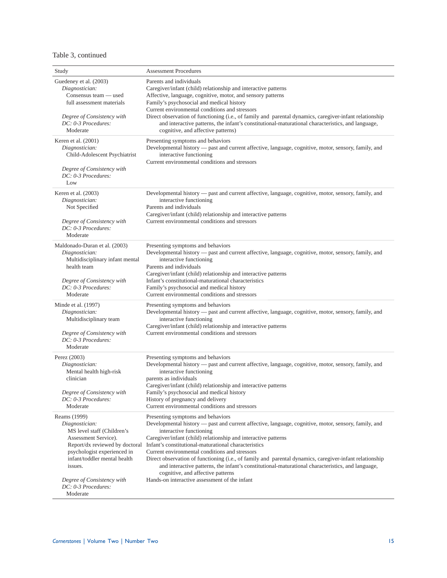# Table 3, continued

| Study                                                                                                                                                                                                                                                             | <b>Assessment Procedures</b>                                                                                                                                                                                                                                                                                                                                                                                                                                                                                                                                                                                                                           |
|-------------------------------------------------------------------------------------------------------------------------------------------------------------------------------------------------------------------------------------------------------------------|--------------------------------------------------------------------------------------------------------------------------------------------------------------------------------------------------------------------------------------------------------------------------------------------------------------------------------------------------------------------------------------------------------------------------------------------------------------------------------------------------------------------------------------------------------------------------------------------------------------------------------------------------------|
| Guedeney et al. (2003)<br>Diagnostician:<br>Consensus team — used<br>full assessment materials<br>Degree of Consistency with<br>DC: 0-3 Procedures:<br>Moderate                                                                                                   | Parents and individuals<br>Caregiver/infant (child) relationship and interactive patterns<br>Affective, language, cognitive, motor, and sensory patterns<br>Family's psychosocial and medical history<br>Current environmental conditions and stressors<br>Direct observation of functioning (i.e., of family and parental dynamics, caregiver-infant relationship<br>and interactive patterns, the infant's constitutional-maturational characteristics, and language,<br>cognitive, and affective patterns)                                                                                                                                          |
| Keren et al. $(2001)$<br>Diagnostician:<br>Child-Adolescent Psychiatrist<br>Degree of Consistency with<br>DC: 0-3 Procedures:<br>Low                                                                                                                              | Presenting symptoms and behaviors<br>Developmental history — past and current affective, language, cognitive, motor, sensory, family, and<br>interactive functioning<br>Current environmental conditions and stressors                                                                                                                                                                                                                                                                                                                                                                                                                                 |
| Keren et al. (2003)<br>Diagnostician:<br>Not Specified<br>Degree of Consistency with<br>DC: 0-3 Procedures:<br>Moderate                                                                                                                                           | Developmental history — past and current affective, language, cognitive, motor, sensory, family, and<br>interactive functioning<br>Parents and individuals<br>Caregiver/infant (child) relationship and interactive patterns<br>Current environmental conditions and stressors                                                                                                                                                                                                                                                                                                                                                                         |
| Maldonado-Duran et al. (2003)<br>Diagnostician:<br>Multidisciplinary infant mental<br>health team<br>Degree of Consistency with<br>DC: 0-3 Procedures:<br>Moderate                                                                                                | Presenting symptoms and behaviors<br>Developmental history — past and current affective, language, cognitive, motor, sensory, family, and<br>interactive functioning<br>Parents and individuals<br>Caregiver/infant (child) relationship and interactive patterns<br>Infant's constitutional-maturational characteristics<br>Family's psychosocial and medical history<br>Current environmental conditions and stressors                                                                                                                                                                                                                               |
| Minde et al. (1997)<br>Diagnostician:<br>Multidisciplinary team<br>Degree of Consistency with<br>DC: 0-3 Procedures:<br>Moderate                                                                                                                                  | Presenting symptoms and behaviors<br>Developmental history — past and current affective, language, cognitive, motor, sensory, family, and<br>interactive functioning<br>Caregiver/infant (child) relationship and interactive patterns<br>Current environmental conditions and stressors                                                                                                                                                                                                                                                                                                                                                               |
| Perez (2003)<br>Diagnostician:<br>Mental health high-risk<br>clinician<br>Degree of Consistency with<br>DC: 0-3 Procedures:<br>Moderate                                                                                                                           | Presenting symptoms and behaviors<br>Developmental history — past and current affective, language, cognitive, motor, sensory, family, and<br>interactive functioning<br>parents as individuals<br>Caregiver/infant (child) relationship and interactive patterns<br>Family's psychosocial and medical history<br>History of pregnancy and delivery<br>Current environmental conditions and stressors                                                                                                                                                                                                                                                   |
| Reams (1999)<br>Diagnostician:<br>MS level staff (Children's<br>Assessment Service).<br>Report/dx reviewed by doctoral<br>psychologist experienced in<br>infant/toddler mental health<br>issues.<br>Degree of Consistency with<br>DC: 0-3 Procedures:<br>Moderate | Presenting symptoms and behaviors<br>Developmental history — past and current affective, language, cognitive, motor, sensory, family, and<br>interactive functioning<br>Caregiver/infant (child) relationship and interactive patterns<br>Infant's constitutional-maturational characteristics<br>Current environmental conditions and stressors<br>Direct observation of functioning (i.e., of family and parental dynamics, caregiver-infant relationship<br>and interactive patterns, the infant's constitutional-maturational characteristics, and language,<br>cognitive, and affective patterns<br>Hands-on interactive assessment of the infant |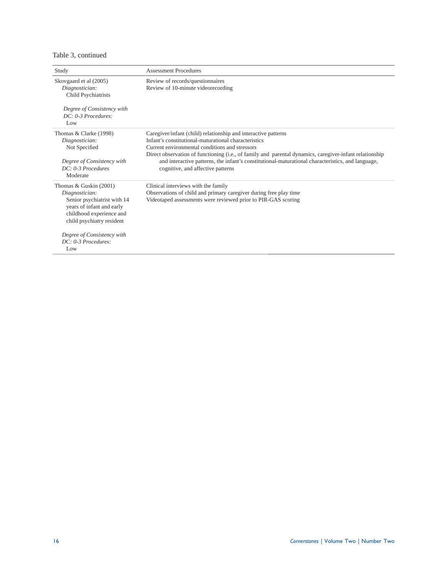# Table 3, continued

| Study                                                                                                                                                           | <b>Assessment Procedures</b>                                                                                                                                                                                                                                                                                                                                                                                                  |
|-----------------------------------------------------------------------------------------------------------------------------------------------------------------|-------------------------------------------------------------------------------------------------------------------------------------------------------------------------------------------------------------------------------------------------------------------------------------------------------------------------------------------------------------------------------------------------------------------------------|
| Skovgaard et al (2005)<br>Diagnostician:<br>Child Psychiatrists                                                                                                 | Review of records/questionnaires<br>Review of 10-minute videorecording                                                                                                                                                                                                                                                                                                                                                        |
| Degree of Consistency with<br>$DC: 0-3$ Procedures:<br>Low                                                                                                      |                                                                                                                                                                                                                                                                                                                                                                                                                               |
| Thomas & Clarke (1998)<br>Diagnostician:<br>Not Specified<br>Degree of Consistency with<br>$DC: 0-3$ Procedures                                                 | Caregiver/infant (child) relationship and interactive patterns<br>Infant's constitutional-maturational characteristics<br>Current environmental conditions and stressors<br>Direct observation of functioning (i.e., of family and parental dynamics, caregiver-infant relationship<br>and interactive patterns, the infant's constitutional-maturational characteristics, and language,<br>cognitive, and affective patterns |
| Moderate                                                                                                                                                        |                                                                                                                                                                                                                                                                                                                                                                                                                               |
| Thomas & Guskin $(2001)$<br>Diagnostician:<br>Senior psychiatrist with 14<br>years of infant and early<br>childhood experience and<br>child psychiatry resident | Clinical interviews with the family<br>Observations of child and primary caregiver during free play time<br>Videotaped assessments were reviewed prior to PIR-GAS scoring                                                                                                                                                                                                                                                     |
| Degree of Consistency with<br>$DC: 0-3$ Procedures:<br>Low                                                                                                      |                                                                                                                                                                                                                                                                                                                                                                                                                               |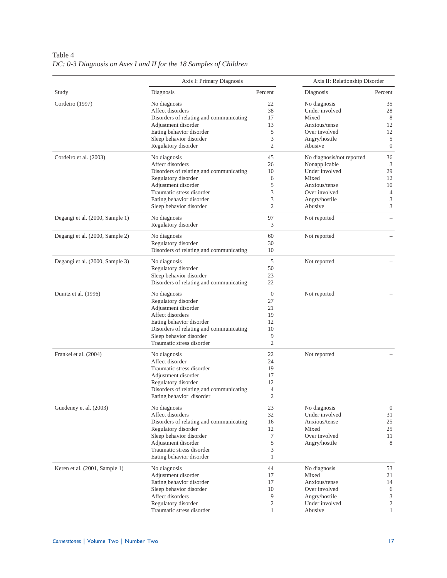|                                 | Axis I: Primary Diagnosis                            | Axis II: Relationship Disorder |                           |                          |  |
|---------------------------------|------------------------------------------------------|--------------------------------|---------------------------|--------------------------|--|
| Study                           | Diagnosis                                            | Percent                        | Diagnosis                 | Percent                  |  |
| Cordeiro (1997)                 | No diagnosis                                         | 22                             | No diagnosis              | 35                       |  |
|                                 | Affect disorders                                     | 38                             | Under involved            | 28                       |  |
|                                 | Disorders of relating and communicating              | 17                             | Mixed                     | 8                        |  |
|                                 | Adjustment disorder                                  | 13                             | Anxious/tense             | 12                       |  |
|                                 | Eating behavior disorder                             | 5                              | Over involved             | 12                       |  |
|                                 | Sleep behavior disorder                              | 3                              | Angry/hostile             | 5                        |  |
|                                 | Regulatory disorder                                  | $\mathfrak{2}$                 | Abusive                   | $\boldsymbol{0}$         |  |
| Cordeiro et al. (2003)          | No diagnosis                                         | 45                             | No diagnosis/not reported | 36                       |  |
|                                 | Affect disorders                                     | 26                             | Nonapplicable             | 3                        |  |
|                                 | Disorders of relating and communicating              | 10                             | Under involved            | 29                       |  |
|                                 | Regulatory disorder                                  | 6                              | Mixed                     | 12                       |  |
|                                 | Adjustment disorder                                  | 5                              | Anxious/tense             | 10                       |  |
|                                 | Traumatic stress disorder                            | 3                              | Over involved             | 4                        |  |
|                                 | Eating behavior disorder                             | 3                              | Angry/hostile             | 3                        |  |
|                                 | Sleep behavior disorder                              | $\overline{2}$                 | Abusive                   | 3                        |  |
| Degangi et al. (2000, Sample 1) | No diagnosis                                         | 97                             | Not reported              | $\overline{\phantom{0}}$ |  |
|                                 | Regulatory disorder                                  | 3                              |                           |                          |  |
| Degangi et al. (2000, Sample 2) | No diagnosis                                         | 60                             | Not reported              |                          |  |
|                                 | Regulatory disorder                                  | 30                             |                           |                          |  |
|                                 | Disorders of relating and communicating              | 10                             |                           |                          |  |
| Degangi et al. (2000, Sample 3) | No diagnosis                                         | 5                              | Not reported              |                          |  |
|                                 | Regulatory disorder                                  | 50                             |                           |                          |  |
|                                 | Sleep behavior disorder                              | 23                             |                           |                          |  |
|                                 | Disorders of relating and communicating              | 22                             |                           |                          |  |
| Dunitz et al. (1996)            | No diagnosis                                         | $\mathbf{0}$                   | Not reported              |                          |  |
|                                 | Regulatory disorder                                  | 27                             |                           |                          |  |
|                                 | Adjustment disorder                                  | 21                             |                           |                          |  |
|                                 | Affect disorders                                     | 19                             |                           |                          |  |
|                                 | Eating behavior disorder                             | 12                             |                           |                          |  |
|                                 | Disorders of relating and communicating              | 10                             |                           |                          |  |
|                                 |                                                      | 9                              |                           |                          |  |
|                                 | Sleep behavior disorder<br>Traumatic stress disorder | $\mathfrak{2}$                 |                           |                          |  |
| Frankel et al. (2004)           | No diagnosis                                         | 22                             | Not reported              |                          |  |
|                                 | Affect disorder                                      | 24                             |                           |                          |  |
|                                 | Traumatic stress disorder                            | 19                             |                           |                          |  |
|                                 | Adjustment disorder                                  | 17                             |                           |                          |  |
|                                 | Regulatory disorder                                  | 12                             |                           |                          |  |
|                                 | Disorders of relating and communicating              | 4                              |                           |                          |  |
|                                 | Eating behavior disorder                             | $\mathfrak{2}$                 |                           |                          |  |
| Guedeney et al. (2003)          | No diagnosis                                         | 23                             | No diagnosis              | $\boldsymbol{0}$         |  |
|                                 | Affect disorders                                     | 32                             | Under involved            | 31                       |  |
|                                 | Disorders of relating and communicating              | 16                             | Anxious/tense             | 25                       |  |
|                                 | Regulatory disorder                                  | 12                             | Mixed                     | 25                       |  |
|                                 | Sleep behavior disorder                              | $\tau$                         | Over involved             | 11                       |  |
|                                 | Adjustment disorder                                  | 5                              | Angry/hostile             | 8                        |  |
|                                 | Traumatic stress disorder                            | 3                              |                           |                          |  |
|                                 | Eating behavior disorder                             | $\mathbf{1}$                   |                           |                          |  |
| Keren et al. (2001, Sample 1)   | No diagnosis                                         | 44                             | No diagnosis              | 53                       |  |
|                                 | Adjustment disorder                                  | 17                             | Mixed                     | 21                       |  |
|                                 | Eating behavior disorder                             | 17                             | Anxious/tense             | 14                       |  |
|                                 | Sleep behavior disorder                              | 10                             | Over involved             | 6                        |  |
|                                 | Affect disorders                                     | 9                              | Angry/hostile             | 3                        |  |
|                                 | Regulatory disorder                                  | 2                              | Under involved            | 2                        |  |
|                                 | Traumatic stress disorder                            | $\mathbf{1}$                   | Abusive                   | $\mathbf{1}$             |  |
|                                 |                                                      |                                |                           |                          |  |

Table 4 *DC: 0-3 Diagnosis on Axes I and II for the 18 Samples of Children*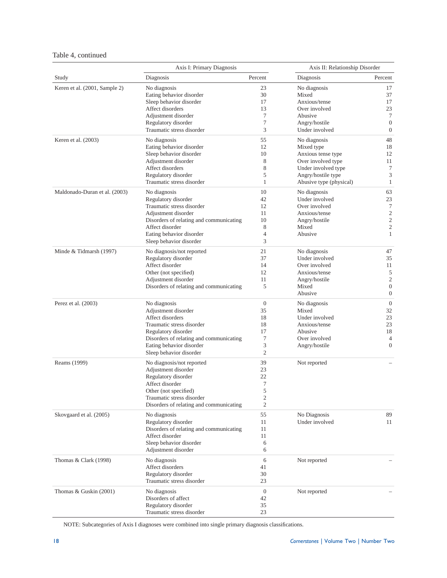# Table 4, continued

|                               | Axis I: Primary Diagnosis                                            | Axis II: Relationship Disorder   |                                |                                  |
|-------------------------------|----------------------------------------------------------------------|----------------------------------|--------------------------------|----------------------------------|
| Study                         | Diagnosis                                                            | Percent                          | Diagnosis                      | Percent                          |
| Keren et al. (2001, Sample 2) | No diagnosis                                                         | 23                               | No diagnosis                   | 17                               |
|                               | Eating behavior disorder                                             | 30                               | Mixed                          | 37                               |
|                               | Sleep behavior disorder                                              | 17                               | Anxious/tense                  | 17                               |
|                               | Affect disorders                                                     | 13                               | Over involved                  | 23                               |
|                               | Adjustment disorder                                                  | 7                                | Abusive                        | $\tau$                           |
|                               | Regulatory disorder                                                  | $\tau$                           | Angry/hostile                  | $\boldsymbol{0}$                 |
|                               | Traumatic stress disorder                                            | 3                                | Under involved                 | $\overline{0}$                   |
| Keren et al. (2003)           | No diagnosis                                                         | 55                               | No diagnosis                   | 48                               |
|                               | Eating behavior disorder                                             | 12                               | Mixed type                     | 18                               |
|                               | Sleep behavior disorder                                              | 10                               | Anxious tense type             | 12                               |
|                               | Adjustment disorder                                                  | 8                                | Over involved type             | 11                               |
|                               | Affect disorders                                                     | 8                                | Under involved type            | $\tau$                           |
|                               | Regulatory disorder                                                  | 5                                | Angry/hostile type             | 3                                |
|                               | Traumatic stress disorder                                            | 1                                | Abusive type (physical)        | $\mathbf{1}$                     |
| Maldonado-Duran et al. (2003) | No diagnosis                                                         | 10                               | No diagnosis                   | 63                               |
|                               | Regulatory disorder                                                  | 42                               | Under involved                 | 23                               |
|                               | Traumatic stress disorder                                            | 12                               | Over involved                  | $\tau$                           |
|                               | Adjustment disorder                                                  | 11                               | Anxious/tense                  | $\mathfrak{2}$                   |
|                               | Disorders of relating and communicating                              | 10                               | Angry/hostile                  | $\sqrt{2}$                       |
|                               | Affect disorder                                                      | 8                                | Mixed                          | $\mathfrak{2}$                   |
|                               | Eating behavior disorder                                             | $\overline{4}$                   | Abusive                        | 1                                |
|                               | Sleep behavior disorder                                              | 3                                |                                |                                  |
| Minde & Tidmarsh (1997)       | No diagnosis/not reported                                            | 21                               | No diagnosis                   | 47                               |
|                               | Regulatory disorder                                                  | 37                               | Under involved                 | 35                               |
|                               | Affect disorder                                                      | 14                               | Over involved                  | 11                               |
|                               | Other (not specified)                                                | 12                               | Anxious/tense                  | 5                                |
|                               | Adjustment disorder                                                  | 11                               | Angry/hostile                  | $\mathfrak{2}$                   |
|                               | Disorders of relating and communicating                              | 5                                | Mixed<br>Abusive               | $\mathbf{0}$<br>$\boldsymbol{0}$ |
|                               |                                                                      |                                  |                                |                                  |
| Perez et al. (2003)           | No diagnosis                                                         | $\boldsymbol{0}$                 | No diagnosis                   | $\boldsymbol{0}$                 |
|                               | Adjustment disorder                                                  | 35                               | Mixed                          | 32                               |
|                               | Affect disorders                                                     | 18                               | Under involved                 | 23                               |
|                               | Traumatic stress disorder                                            | 18                               | Anxious/tense                  | 23                               |
|                               | Regulatory disorder                                                  | 17                               | Abusive                        | 18                               |
|                               | Disorders of relating and communicating                              | 7                                | Over involved                  | 4                                |
|                               | Eating behavior disorder                                             | 3                                | Angry/hostile                  | $\mathbf{0}$                     |
|                               | Sleep behavior disorder                                              | $\mathfrak{2}$                   |                                |                                  |
| Reams (1999)                  | No diagnosis/not reported                                            | 39                               | Not reported                   |                                  |
|                               | Adjustment disorder                                                  | 23                               |                                |                                  |
|                               | Regulatory disorder                                                  | 22                               |                                |                                  |
|                               | Affect disorder                                                      | 7                                |                                |                                  |
|                               | Other (not specified)                                                | 5                                |                                |                                  |
|                               | Traumatic stress disorder<br>Disorders of relating and communicating | $\overline{c}$<br>$\mathfrak{2}$ |                                |                                  |
|                               | No diagnosis                                                         |                                  |                                | 89                               |
| Skovgaard et al. (2005)       |                                                                      | 55                               | No Diagnosis<br>Under involved |                                  |
|                               | Regulatory disorder                                                  | 11                               |                                | 11                               |
|                               | Disorders of relating and communicating                              | 11                               |                                |                                  |
|                               | Affect disorder                                                      | 11                               |                                |                                  |
|                               | Sleep behavior disorder<br>Adjustment disorder                       | 6<br>6                           |                                |                                  |
| Thomas & Clark (1998)         | No diagnosis                                                         | 6                                | Not reported                   |                                  |
|                               | Affect disorders                                                     | 41                               |                                |                                  |
|                               | Regulatory disorder                                                  | 30                               |                                |                                  |
|                               | Traumatic stress disorder                                            | 23                               |                                |                                  |
| Thomas & Guskin (2001)        | No diagnosis                                                         | $\mathbf{0}$                     | Not reported                   |                                  |
|                               | Disorders of affect                                                  | 42                               |                                |                                  |
|                               | Regulatory disorder                                                  | 35                               |                                |                                  |
|                               | Traumatic stress disorder                                            | 23                               |                                |                                  |

NOTE: Subcategories of Axis I diagnoses were combined into single primary diagnosis classifications.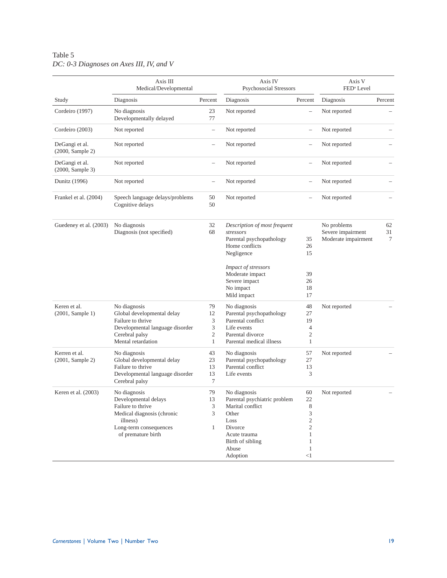# Table 5 *DC: 0-3 Diagnoses on Axes III, IV, and V*

|                                    | Axis III<br>Medical/Developmental                                                                                                                   |                                                      | Axis IV<br><b>Psychosocial Stressors</b>                                                                                                                                                     | Axis V<br>FED <sup>a</sup> Level                                                                |                                                         |               |
|------------------------------------|-----------------------------------------------------------------------------------------------------------------------------------------------------|------------------------------------------------------|----------------------------------------------------------------------------------------------------------------------------------------------------------------------------------------------|-------------------------------------------------------------------------------------------------|---------------------------------------------------------|---------------|
| Study                              | Diagnosis                                                                                                                                           | Percent                                              | Diagnosis                                                                                                                                                                                    | Percent                                                                                         | Diagnosis                                               | Percent       |
| Cordeiro (1997)                    | No diagnosis<br>Developmentally delayed                                                                                                             | 23<br>77                                             | Not reported                                                                                                                                                                                 | $\overline{\phantom{0}}$                                                                        | Not reported                                            |               |
| Cordeiro (2003)                    | Not reported                                                                                                                                        | $\overline{\phantom{0}}$                             | Not reported                                                                                                                                                                                 | $\overline{\phantom{0}}$                                                                        | Not reported                                            |               |
| DeGangi et al.<br>(2000, Sample 2) | Not reported                                                                                                                                        | $\overline{\phantom{0}}$                             | Not reported                                                                                                                                                                                 | $\overline{\phantom{0}}$                                                                        | Not reported                                            |               |
| DeGangi et al.<br>(2000, Sample 3) | Not reported                                                                                                                                        | $\overline{\phantom{0}}$                             | Not reported                                                                                                                                                                                 | $\overline{\phantom{0}}$                                                                        | Not reported                                            |               |
| <b>Dunitz</b> (1996)               | Not reported                                                                                                                                        | $\overline{\phantom{0}}$                             | Not reported                                                                                                                                                                                 | $\overline{\phantom{0}}$                                                                        | Not reported                                            |               |
| Frankel et al. (2004)              | Speech language delays/problems<br>Cognitive delays                                                                                                 | 50<br>50                                             | Not reported                                                                                                                                                                                 | $\overline{\phantom{0}}$                                                                        | Not reported                                            |               |
| Guedeney et al. (2003)             | No diagnosis<br>Diagnosis (not specified)                                                                                                           | 32<br>68                                             | Description of most frequent<br>stressors<br>Parental psychopathology<br>Home conflicts<br>Negligence<br>Impact of stressors<br>Moderate impact<br>Severe impact<br>No impact<br>Mild impact | 35<br>26<br>15<br>39<br>26<br>18<br>17                                                          | No problems<br>Severe impairment<br>Moderate impairment | 62<br>31<br>7 |
| Keren et al.<br>(2001, Sample 1)   | No diagnosis<br>Global developmental delay<br>Failure to thrive<br>Developmental language disorder<br>Cerebral palsy<br>Mental retardation          | 79<br>12<br>3<br>3<br>$\overline{c}$<br>$\mathbf{1}$ | No diagnosis<br>Parental psychopathology<br>Parental conflict<br>Life events<br>Parental divorce<br>Parental medical illness                                                                 | 48<br>27<br>19<br>$\overline{4}$<br>$\mathfrak{2}$<br>$\mathbf{1}$                              | Not reported                                            |               |
| Kerren et al.<br>(2001, Sample 2)  | No diagnosis<br>Global developmental delay<br>Failure to thrive<br>Developmental language disorder<br>Cerebral palsy                                | 43<br>23<br>13<br>13<br>7                            | No diagnosis<br>Parental psychopathology<br>Parental conflict<br>Life events                                                                                                                 | 57<br>27<br>13<br>3                                                                             | Not reported                                            |               |
| Keren et al. (2003)                | No diagnosis<br>Developmental delays<br>Failure to thrive<br>Medical diagnosis (chronic<br>illness)<br>Long-term consequences<br>of premature birth | 79<br>13<br>3<br>3<br>$\mathbf{1}$                   | No diagnosis<br>Parental psychiatric problem<br>Marital conflict<br>Other<br>Loss<br>Divorce<br>Acute trauma<br>Birth of sibling<br>Abuse<br>Adoption                                        | 60<br>22<br>$\,8\,$<br>3<br>$\overline{c}$<br>$\overline{c}$<br>1<br>1<br>$\mathbf{1}$<br>$<$ 1 | Not reported                                            |               |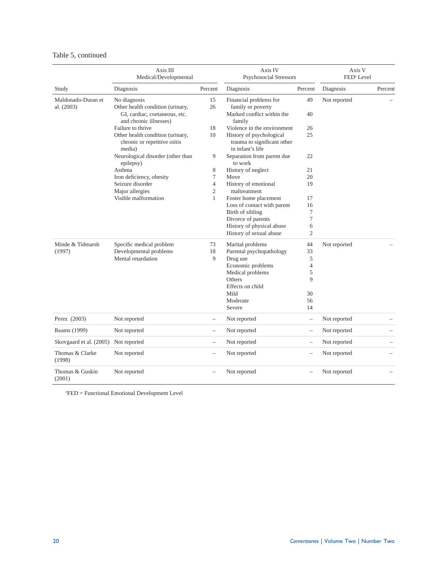# Table 5, continued

|                                  | Axis III<br>Medical/Developmental                                                                           |                                  | Axis IV<br><b>Psychosocial Stressors</b>                                            |                          | Axis V<br>FED <sup>a</sup> Level |         |
|----------------------------------|-------------------------------------------------------------------------------------------------------------|----------------------------------|-------------------------------------------------------------------------------------|--------------------------|----------------------------------|---------|
| Study                            | Diagnosis                                                                                                   | Percent                          | Diagnosis                                                                           | Percent                  | Diagnosis                        | Percent |
| Maldonado-Duran et<br>al. (2003) | No diagnosis<br>Other health condition (urinary,<br>GI, cardiac, coetaneous, etc.<br>and chronic illnesses) | 15<br>26                         | Financial problems for<br>family or poverty<br>Marked conflict within the<br>family | 49<br>40                 | Not reported                     |         |
|                                  | Failure to thrive                                                                                           | 18                               | Violence in the environment                                                         | 26                       |                                  |         |
|                                  | Other health condition (urinary,<br>chronic or repetitive otitis<br>media)                                  | 10                               | History of psychological<br>trauma to significant other<br>in infant's life         | 25                       |                                  |         |
|                                  | Neurological disorder (other than<br>epilepsy)                                                              | 9                                | Separation from parent due<br>to work                                               | 22                       |                                  |         |
|                                  | Asthma                                                                                                      | 8                                | History of neglect                                                                  | 21                       |                                  |         |
|                                  | Iron deficiency, obesity                                                                                    | $\tau$                           | Move                                                                                | 20                       |                                  |         |
|                                  | Seizure disorder<br>Major allergies                                                                         | $\overline{4}$<br>$\mathfrak{2}$ | History of emotional<br>maltreatment                                                | 19                       |                                  |         |
|                                  | Visible malformation                                                                                        | $\mathbf{1}$                     | Foster home placement                                                               | 17                       |                                  |         |
|                                  |                                                                                                             |                                  | Loss of contact with parent                                                         | 16                       |                                  |         |
|                                  |                                                                                                             |                                  | Birth of sibling                                                                    | 7<br>$\tau$              |                                  |         |
|                                  |                                                                                                             |                                  | Divorce of parents<br>History of physical abuse<br>History of sexual abuse          | 6<br>$\overline{2}$      |                                  |         |
| Minde & Tidmarsh                 | Specific medical problem                                                                                    | 73                               | Marital problems                                                                    | 44                       | Not reported                     |         |
| (1997)                           | Developmental problems                                                                                      | 18                               | Parental psychopathology                                                            | 33                       |                                  |         |
|                                  | Mental retardation                                                                                          | 9                                | Drug use                                                                            | 5                        |                                  |         |
|                                  |                                                                                                             |                                  | Economic problems                                                                   | $\overline{4}$           |                                  |         |
|                                  |                                                                                                             |                                  | Medical problems                                                                    | 5                        |                                  |         |
|                                  |                                                                                                             |                                  | Others                                                                              | 9                        |                                  |         |
|                                  |                                                                                                             |                                  | Effects on child                                                                    |                          |                                  |         |
|                                  |                                                                                                             |                                  | Mild                                                                                | 30                       |                                  |         |
|                                  |                                                                                                             |                                  | Moderate                                                                            | 56                       |                                  |         |
|                                  |                                                                                                             |                                  | Severe                                                                              | 14                       |                                  |         |
| Perez (2003)                     | Not reported                                                                                                | $\overline{\phantom{0}}$         | Not reported                                                                        | $\qquad \qquad -$        | Not reported                     |         |
| Reams (1999)                     | Not reported                                                                                                | $\qquad \qquad -$                | Not reported                                                                        | $\overline{\phantom{0}}$ | Not reported                     |         |
| Skovgaard et al. (2005)          | Not reported                                                                                                | $\overline{\phantom{0}}$         | Not reported                                                                        | $\overline{\phantom{0}}$ | Not reported                     |         |
| Thomas & Clarke<br>(1998)        | Not reported                                                                                                | $\overline{\phantom{0}}$         | Not reported                                                                        | $\overline{\phantom{0}}$ | Not reported                     |         |
| Thomas & Guskin<br>(2001)        | Not reported                                                                                                |                                  | Not reported                                                                        | $\overline{\phantom{0}}$ | Not reported                     |         |

a FED = Functional Emotional Development Level